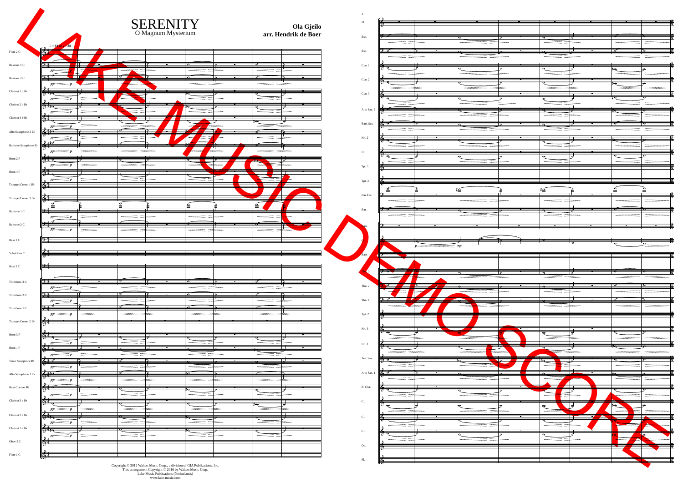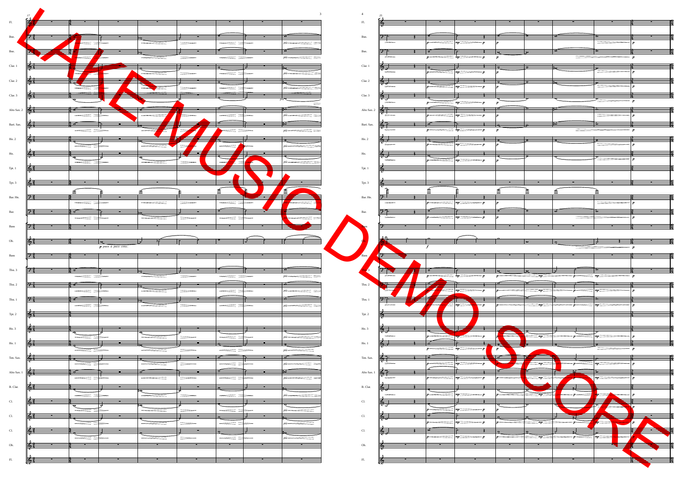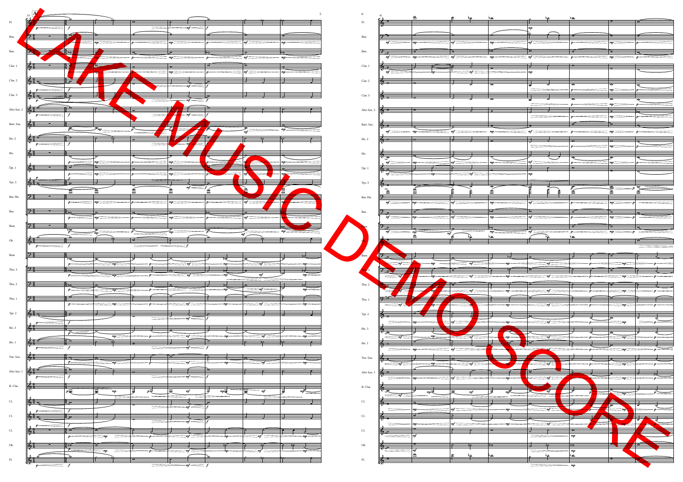